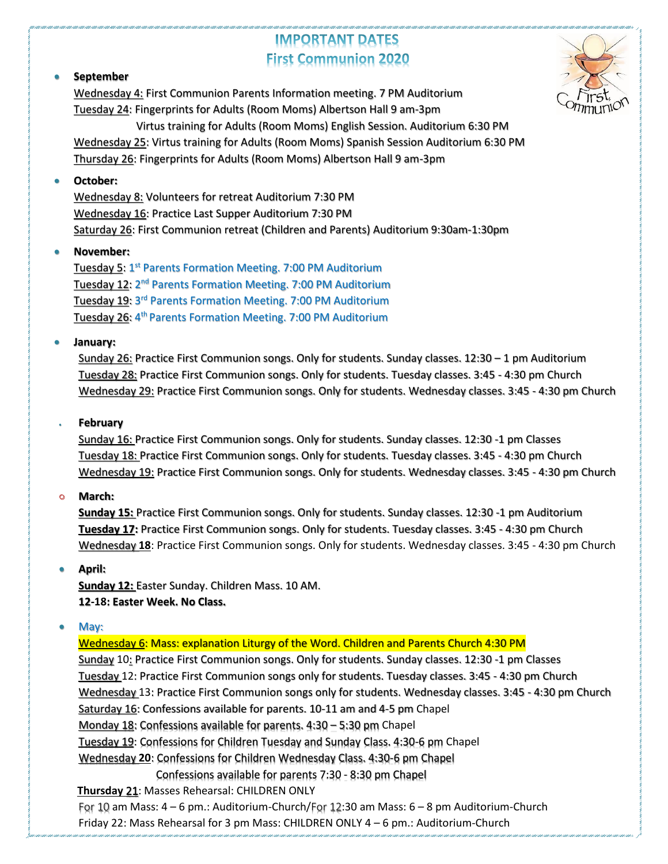# **IMPORTANT DATES First Communion 2020**



### • **September**

Wednesday 4: First Communion Parents Information meeting. 7 PM Auditorium Tuesday 24: Fingerprints for Adults (Room Moms) Albertson Hall 9 am-3pm Virtus training for Adults (Room Moms) English Session. Auditorium 6:30 PM Wednesday 25: Virtus training for Adults (Room Moms) Spanish Session Auditorium 6:30 PM Thursday 26: Fingerprints for Adults (Room Moms) Albertson Hall 9 am-3pm

### • **October:**

Wednesday 8: Volunteers for retreat Auditorium 7:30 PM Wednesday 16: Practice Last Supper Auditorium 7:30 PM Saturday 26: First Communion retreat (Children and Parents) Auditorium 9:30am-1:30pm

### • **November:**

Tuesday 5: 1<sup>st</sup> Parents Formation Meeting. 7:00 PM Auditorium Tuesday 12: 2<sup>nd</sup> Parents Formation Meeting. 7:00 PM Auditorium Tuesday 19: 3<sup>rd</sup> Parents Formation Meeting. 7:00 PM Auditorium Tuesday 26: 4<sup>th</sup> Parents Formation Meeting. 7:00 PM Auditorium

### • **January:**

Sunday 26: Practice First Communion songs. Only for students. Sunday classes. 12:30 - 1 pm Auditorium Tuesday 28: Practice First Communion songs. Only for students. Tuesday classes. 3:45 - 4:30 pm Church Wednesday 29: Practice First Communion songs. Only for students. Wednesday classes. 3:45 - 4:30 pm Church

### • **February**

Sunday 16: Practice First Communion songs. Only for students. Sunday classes. 12:30 -1 pm Classes Tuesday 18: Practice First Communion songs. Only for students. Tuesday classes. 3:45 - 4:30 pm Church Wednesday 19: Practice First Communion songs. Only for students. Wednesday classes. 3:45 - 4:30 pm Church

#### **March:**  $\Omega$

**Sunday 15:** Practice First Communion songs. Only for students. Sunday classes. 12:30 -1 pm Auditorium **Tuesday 17:** Practice First Communion songs. Only for students. Tuesday classes. 3:45 - 4:30 pm Church Wednesday **18**: Practice First Communion songs. Only for students. Wednesday classes. 3:45 - 4:30 pm Church

### • **April:**

**Sunday 12:** Easter Sunday. Children Mass. 10 AM. **12-18: Easter Week. No Class.**

May:

Wednesday 6: Mass: explanation Liturgy of the Word. Children and Parents Church 4:30 PM Sunday 10: Practice First Communion songs. Only for students. Sunday classes. 12:30 -1 pm Classes Tuesday 12: Practice First Communion songs only for students. Tuesday classes. 3:45 - 4:30 pm Church Wednesday 13: Practice First Communion songs only for students. Wednesday classes. 3:45 - 4:30 pm Church Saturday 16: Confessions available for parents. 10-11 am and 4-5 pm Chapel Monday 18: Confessions available for parents. 4:30 – 5:30 pm Chapel Tuesday 19: Confessions for Children Tuesday and Sunday Class. 4:30-6 pm Chapel Wednesday **20**: Confessions for Children Wednesday Class. 4:30-6 pm Chapel Confessions available for parents 7:30 - 8:30 pm Chapel  **Thursday** 21: Masses Rehearsal: CHILDREN ONLY For 10 am Mass: 4 – 6 pm.: Auditorium-Church/For 12:30 am Mass: 6 – 8 pm Auditorium-Church Friday 22: Mass Rehearsal for 3 pm Mass: CHILDREN ONLY 4 – 6 pm.: Auditorium-Church

 $\overline{a}$